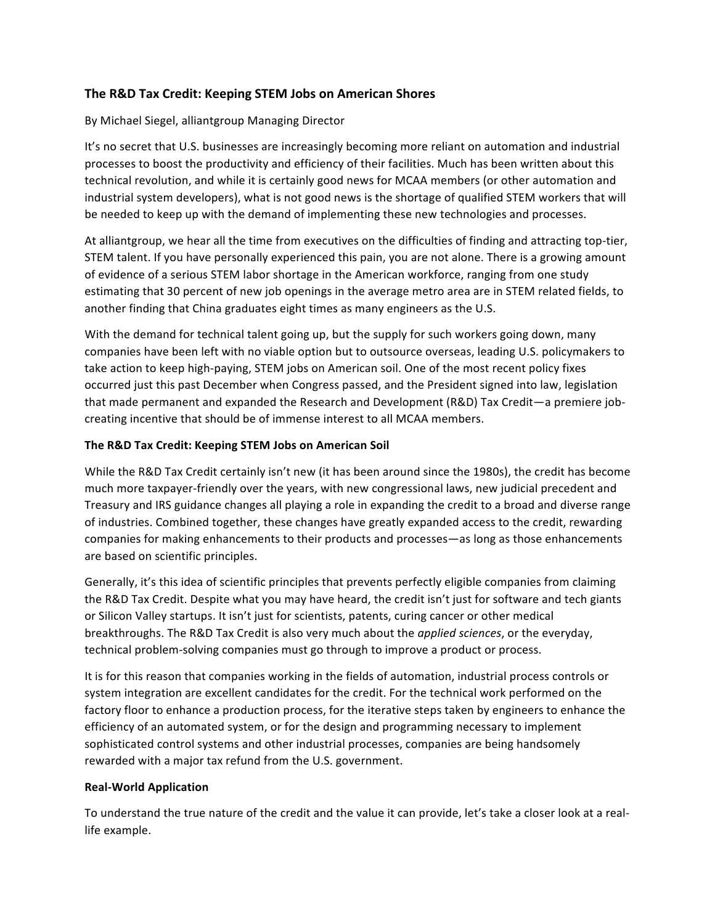# **The R&D Tax Credit: Keeping STEM Jobs on American Shores**

## By Michael Siegel, alliantgroup Managing Director

It's no secret that U.S. businesses are increasingly becoming more reliant on automation and industrial processes to boost the productivity and efficiency of their facilities. Much has been written about this technical revolution, and while it is certainly good news for MCAA members (or other automation and industrial system developers), what is not good news is the shortage of qualified STEM workers that will be needed to keep up with the demand of implementing these new technologies and processes.

At alliantgroup, we hear all the time from executives on the difficulties of finding and attracting top-tier, STEM talent. If you have personally experienced this pain, you are not alone. There is a growing amount of evidence of a serious STEM labor shortage in the American workforce, ranging from one study estimating that 30 percent of new job openings in the average metro area are in STEM related fields, to another finding that China graduates eight times as many engineers as the U.S.

With the demand for technical talent going up, but the supply for such workers going down, many companies have been left with no viable option but to outsource overseas, leading U.S. policymakers to take action to keep high-paying, STEM jobs on American soil. One of the most recent policy fixes occurred just this past December when Congress passed, and the President signed into law, legislation that made permanent and expanded the Research and Development (R&D) Tax Credit—a premiere jobcreating incentive that should be of immense interest to all MCAA members.

## **The R&D Tax Credit: Keeping STEM Jobs on American Soil**

While the R&D Tax Credit certainly isn't new (it has been around since the 1980s), the credit has become much more taxpayer-friendly over the years, with new congressional laws, new judicial precedent and Treasury and IRS guidance changes all playing a role in expanding the credit to a broad and diverse range of industries. Combined together, these changes have greatly expanded access to the credit, rewarding companies for making enhancements to their products and processes—as long as those enhancements are based on scientific principles.

Generally, it's this idea of scientific principles that prevents perfectly eligible companies from claiming the R&D Tax Credit. Despite what you may have heard, the credit isn't just for software and tech giants or Silicon Valley startups. It isn't just for scientists, patents, curing cancer or other medical breakthroughs. The R&D Tax Credit is also very much about the *applied sciences*, or the everyday, technical problem-solving companies must go through to improve a product or process.

It is for this reason that companies working in the fields of automation, industrial process controls or system integration are excellent candidates for the credit. For the technical work performed on the factory floor to enhance a production process, for the iterative steps taken by engineers to enhance the efficiency of an automated system, or for the design and programming necessary to implement sophisticated control systems and other industrial processes, companies are being handsomely rewarded with a major tax refund from the U.S. government.

### **Real-World Application**

To understand the true nature of the credit and the value it can provide, let's take a closer look at a reallife example.